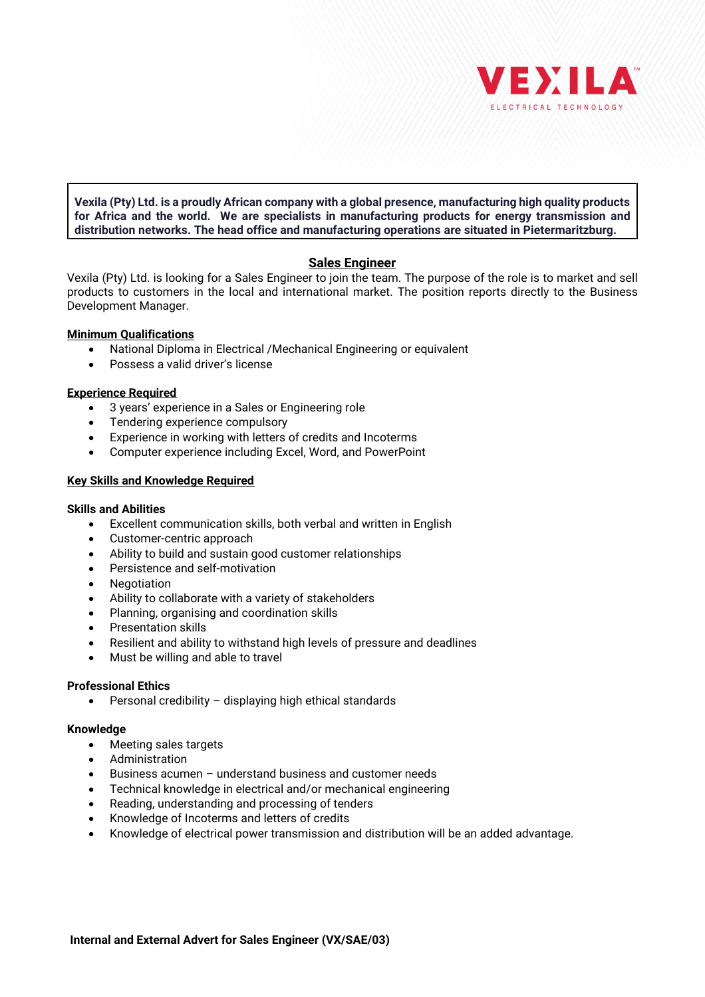

**Vexila (Pty) Ltd. is a proudly African company with a global presence, manufacturing high quality products for Africa and the world. We are specialists in manufacturing products for energy transmission and distribution networks. The head office and manufacturing operations are situated in Pietermaritzburg.** 

# **Sales Engineer**

Vexila (Pty) Ltd. is looking for a Sales Engineer to join the team. The purpose of the role is to market and sell products to customers in the local and international market. The position reports directly to the Business Development Manager.

## **Minimum Qualifications**

- National Diploma in Electrical /Mechanical Engineering or equivalent
- Possess a valid driver's license

## **Experience Required**

- 3 years' experience in a Sales or Engineering role
- Tendering experience compulsory
- Experience in working with letters of credits and Incoterms
- Computer experience including Excel, Word, and PowerPoint

## **Key Skills and Knowledge Required**

#### **Skills and Abilities**

- Excellent communication skills, both verbal and written in English
- Customer-centric approach
- Ability to build and sustain good customer relationships
- Persistence and self-motivation
- Negotiation
- Ability to collaborate with a variety of stakeholders
- Planning, organising and coordination skills
- Presentation skills
- Resilient and ability to withstand high levels of pressure and deadlines
- Must be willing and able to travel

#### **Professional Ethics**

• Personal credibility – displaying high ethical standards

#### **Knowledge**

- Meeting sales targets
- Administration
- Business acumen understand business and customer needs
- Technical knowledge in electrical and/or mechanical engineering
- Reading, understanding and processing of tenders
- Knowledge of Incoterms and letters of credits
- Knowledge of electrical power transmission and distribution will be an added advantage.